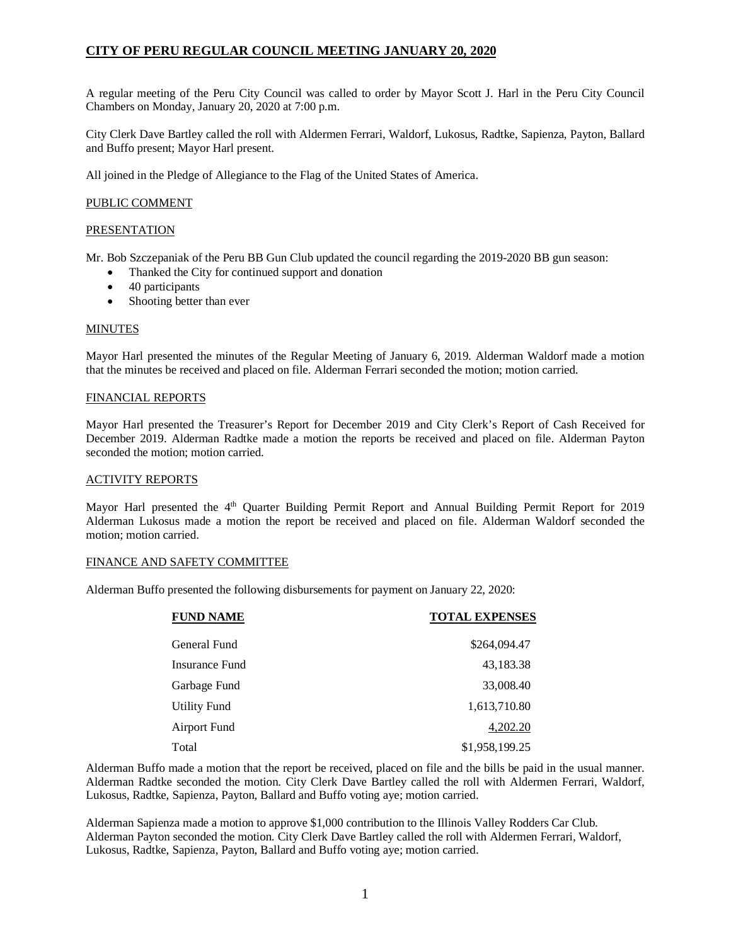# **CITY OF PERU REGULAR COUNCIL MEETING JANUARY 20, 2020**

A regular meeting of the Peru City Council was called to order by Mayor Scott J. Harl in the Peru City Council Chambers on Monday, January 20, 2020 at 7:00 p.m.

City Clerk Dave Bartley called the roll with Aldermen Ferrari, Waldorf, Lukosus, Radtke, Sapienza, Payton, Ballard and Buffo present; Mayor Harl present.

All joined in the Pledge of Allegiance to the Flag of the United States of America.

## PUBLIC COMMENT

## **PRESENTATION**

Mr. Bob Szczepaniak of the Peru BB Gun Club updated the council regarding the 2019-2020 BB gun season:

- Thanked the City for continued support and donation
- 40 participants
- Shooting better than ever

#### **MINUTES**

Mayor Harl presented the minutes of the Regular Meeting of January 6, 2019. Alderman Waldorf made a motion that the minutes be received and placed on file. Alderman Ferrari seconded the motion; motion carried.

#### FINANCIAL REPORTS

Mayor Harl presented the Treasurer's Report for December 2019 and City Clerk's Report of Cash Received for December 2019. Alderman Radtke made a motion the reports be received and placed on file. Alderman Payton seconded the motion; motion carried.

#### ACTIVITY REPORTS

Mayor Harl presented the 4<sup>th</sup> Quarter Building Permit Report and Annual Building Permit Report for 2019 Alderman Lukosus made a motion the report be received and placed on file. Alderman Waldorf seconded the motion; motion carried.

#### FINANCE AND SAFETY COMMITTEE

Alderman Buffo presented the following disbursements for payment on January 22, 2020:

| <b>FUND NAME</b>    | <b>TOTAL EXPENSES</b> |
|---------------------|-----------------------|
| General Fund        | \$264,094.47          |
| Insurance Fund      | 43,183.38             |
| Garbage Fund        | 33,008.40             |
| <b>Utility Fund</b> | 1,613,710.80          |
| Airport Fund        | 4,202.20              |
| Total               | \$1,958,199.25        |

Alderman Buffo made a motion that the report be received, placed on file and the bills be paid in the usual manner. Alderman Radtke seconded the motion. City Clerk Dave Bartley called the roll with Aldermen Ferrari, Waldorf, Lukosus, Radtke, Sapienza, Payton, Ballard and Buffo voting aye; motion carried.

Alderman Sapienza made a motion to approve \$1,000 contribution to the Illinois Valley Rodders Car Club. Alderman Payton seconded the motion. City Clerk Dave Bartley called the roll with Aldermen Ferrari, Waldorf, Lukosus, Radtke, Sapienza, Payton, Ballard and Buffo voting aye; motion carried.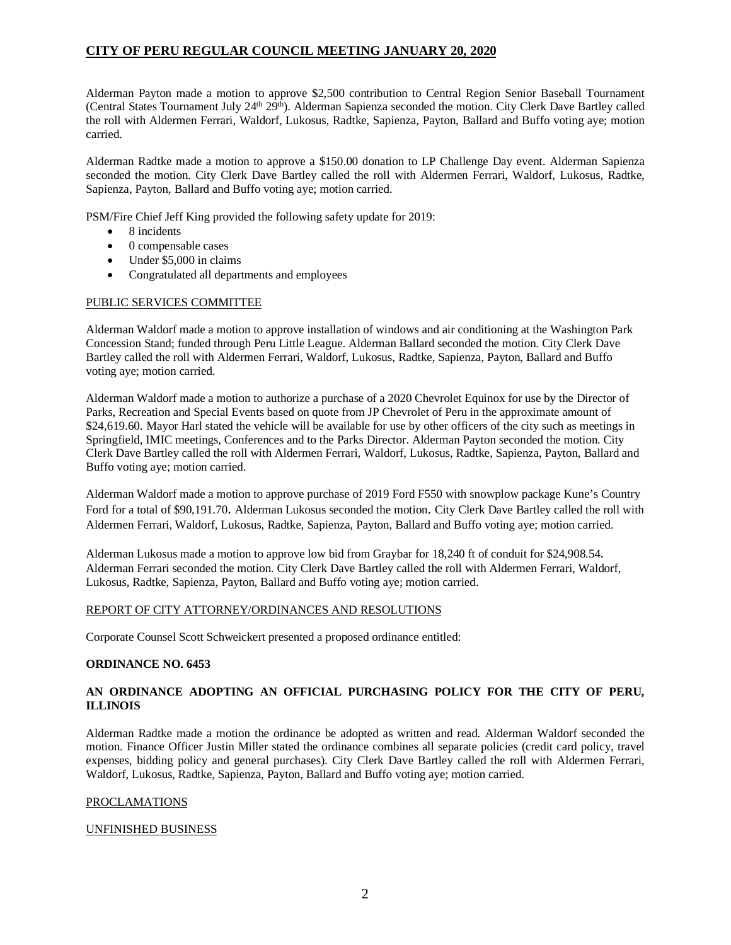# **CITY OF PERU REGULAR COUNCIL MEETING JANUARY 20, 2020**

Alderman Payton made a motion to approve \$2,500 contribution to Central Region Senior Baseball Tournament (Central States Tournament July  $24<sup>th</sup> 29<sup>th</sup>$ ). Alderman Sapienza seconded the motion. City Clerk Dave Bartley called the roll with Aldermen Ferrari, Waldorf, Lukosus, Radtke, Sapienza, Payton, Ballard and Buffo voting aye; motion carried.

Alderman Radtke made a motion to approve a \$150.00 donation to LP Challenge Day event. Alderman Sapienza seconded the motion. City Clerk Dave Bartley called the roll with Aldermen Ferrari, Waldorf, Lukosus, Radtke, Sapienza, Payton, Ballard and Buffo voting aye; motion carried.

PSM/Fire Chief Jeff King provided the following safety update for 2019:

- 8 incidents
- 0 compensable cases
- Under \$5,000 in claims
- Congratulated all departments and employees

## PUBLIC SERVICES COMMITTEE

Alderman Waldorf made a motion to approve installation of windows and air conditioning at the Washington Park Concession Stand; funded through Peru Little League. Alderman Ballard seconded the motion. City Clerk Dave Bartley called the roll with Aldermen Ferrari, Waldorf, Lukosus, Radtke, Sapienza, Payton, Ballard and Buffo voting aye; motion carried.

Alderman Waldorf made a motion to authorize a purchase of a 2020 Chevrolet Equinox for use by the Director of Parks, Recreation and Special Events based on quote from JP Chevrolet of Peru in the approximate amount of \$24,619.60. Mayor Harl stated the vehicle will be available for use by other officers of the city such as meetings in Springfield, IMIC meetings, Conferences and to the Parks Director. Alderman Payton seconded the motion. City Clerk Dave Bartley called the roll with Aldermen Ferrari, Waldorf, Lukosus, Radtke, Sapienza, Payton, Ballard and Buffo voting aye; motion carried.

Alderman Waldorf made a motion to approve purchase of 2019 Ford F550 with snowplow package Kune's Country Ford for a total of \$90,191.70. Alderman Lukosus seconded the motion. City Clerk Dave Bartley called the roll with Aldermen Ferrari, Waldorf, Lukosus, Radtke, Sapienza, Payton, Ballard and Buffo voting aye; motion carried.

Alderman Lukosus made a motion to approve low bid from Graybar for 18,240 ft of conduit for \$24,908.54. Alderman Ferrari seconded the motion. City Clerk Dave Bartley called the roll with Aldermen Ferrari, Waldorf, Lukosus, Radtke, Sapienza, Payton, Ballard and Buffo voting aye; motion carried.

## REPORT OF CITY ATTORNEY/ORDINANCES AND RESOLUTIONS

Corporate Counsel Scott Schweickert presented a proposed ordinance entitled:

## **ORDINANCE NO. 6453**

# **AN ORDINANCE ADOPTING AN OFFICIAL PURCHASING POLICY FOR THE CITY OF PERU, ILLINOIS**

Alderman Radtke made a motion the ordinance be adopted as written and read. Alderman Waldorf seconded the motion. Finance Officer Justin Miller stated the ordinance combines all separate policies (credit card policy, travel expenses, bidding policy and general purchases). City Clerk Dave Bartley called the roll with Aldermen Ferrari, Waldorf, Lukosus, Radtke, Sapienza, Payton, Ballard and Buffo voting aye; motion carried.

#### PROCLAMATIONS

#### UNFINISHED BUSINESS